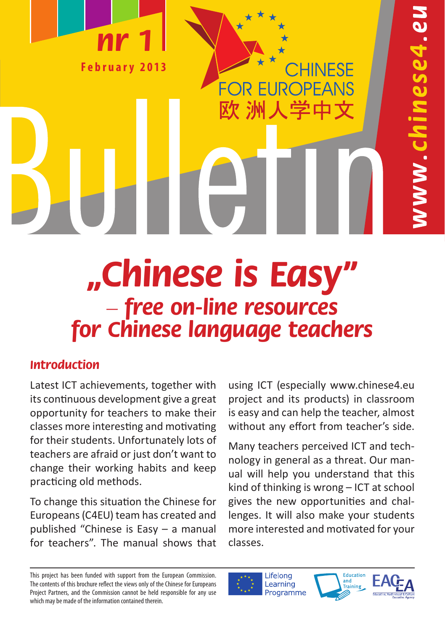

# **"Chinese is Easy" – free on-line resources for Chinese language teachers**

## **Introduction**

Latest ICT achievements, together with its continuous development give a great opportunity for teachers to make their classes more interesting and motivating for their students. Unfortunately lots of teachers are afraid or just don't want to change their working habits and keep practicing old methods.

To change this situation the Chinese for Europeans (C4EU) team has created and published "Chinese is Easy – a manual for teachers". The manual shows that using ICT (especially www.chinese4.eu project and its products) in classroom is easy and can help the teacher, almost without any effort from teacher's side.

**OR EUROPEANS** 

欧 洲人学中文

Many teachers perceived ICT and technology in general as a threat. Our manual will help you understand that this kind of thinking is wrong – ICT at school gives the new opportunities and challenges. It will also make your students more interested and motivated for your classes.

Lifelong Learning Programme





This project has been funded with support from the European Commission. The contents of this brochure reflect the views only of the Chinese for Europeans Project Partners, and the Commission cannot be held responsible for any use which may be made of the information contained therein.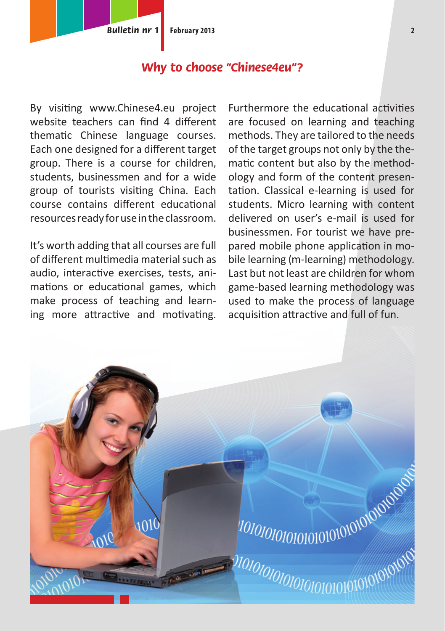### **Why to choose "Chinese4eu"?**

By visiting www.Chinese4.eu project website teachers can find 4 different thematic Chinese language courses. Each one designed for a different target group. There is a course for children, students, businessmen and for a wide group of tourists visiting China. Each course contains different educational resources ready for use in the classroom.

It's worth adding that all courses are full of different multimedia material such as audio, interactive exercises, tests, animations or educational games, which make process of teaching and learning more attractive and motivating.

Furthermore the educational activities are focused on learning and teaching methods. They are tailored to the needs of the target groups not only by the thematic content but also by the methodology and form of the content presentation. Classical e-learning is used for students. Micro learning with content delivered on user's e-mail is used for businessmen. For tourist we have prepared mobile phone application in mobile learning (m-learning) methodology. Last but not least are children for whom game-based learning methodology was used to make the process of language acquisition attractive and full of fun.

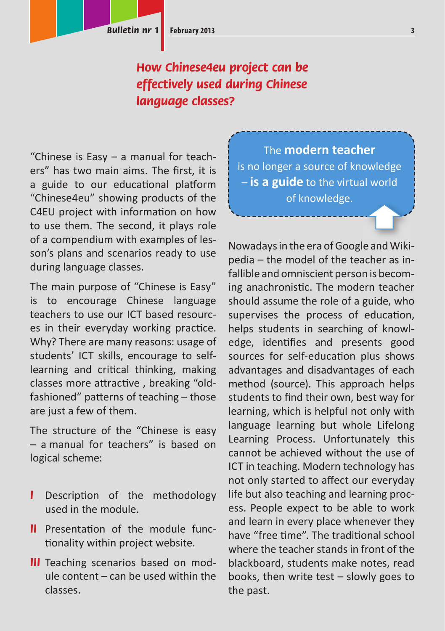## **How Chinese4eu project can be effectively used during Chinese language classes?**

"Chinese is Easy – a manual for teachers" has two main aims. The first, it is a guide to our educational platform "Chinese4eu" showing products of the C4EU project with information on how to use them. The second, it plays role of a compendium with examples of lesson's plans and scenarios ready to use during language classes.

The main purpose of "Chinese is Easy" is to encourage Chinese language teachers to use our ICT based resources in their everyday working practice. Why? There are many reasons: usage of students' ICT skills, encourage to selflearning and critical thinking, making classes more attractive, breaking "oldfashioned" patterns of teaching - those are just a few of them.

The structure of the "Chinese is easy – a manual for teachers" is based on logical scheme:

- **I** Description of the methodology used in the module.
- **II** Presentation of the module functionality within project website.
- **III** Teaching scenarios based on module content – can be used within the classes.

The **modern teacher** is no longer a source of knowledge – **is a guide** to the virtual world of knowledge.

Nowadays in the era of Google and Wikipedia – the model of the teacher as infallible and omniscient person is becoming anachronistic. The modern teacher should assume the role of a guide, who supervises the process of education, helps students in searching of knowledge, identifies and presents good sources for self-education plus shows advantages and disadvantages of each method (source). This approach helps students to find their own, best way for learning, which is helpful not only with language learning but whole Lifelong Learning Process. Unfortunately this cannot be achieved without the use of ICT in teaching. Modern technology has not only started to affect our everyday life but also teaching and learning process. People expect to be able to work and learn in every place whenever they have "free time". The traditional school where the teacher stands in front of the blackboard, students make notes, read books, then write test – slowly goes to the past.